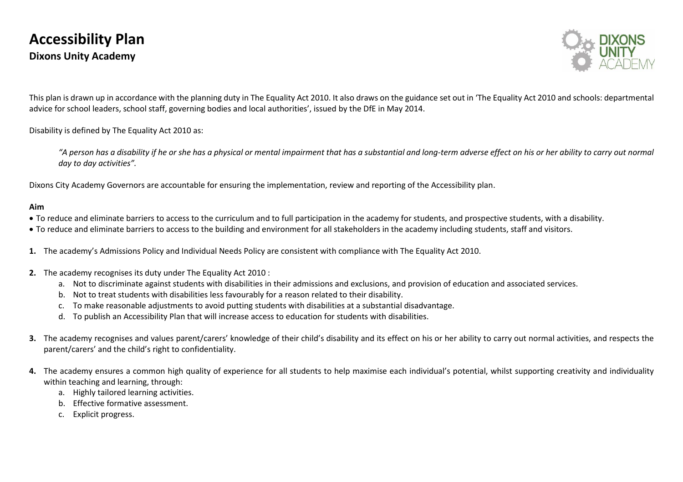

This plan is drawn up in accordance with the planning duty in The Equality Act 2010. It also draws on the guidance set out in 'The Equality Act 2010 and schools: departmental advice for school leaders, school staff, governing bodies and local authorities', issued by the DfE in May 2014.

Disability is defined by The Equality Act 2010 as:

"A person has a disability if he or she has a physical or mental impairment that has a substantial and long-term adverse effect on his or her ability to carry out normal *day to day activities".* 

Dixons City Academy Governors are accountable for ensuring the implementation, review and reporting of the Accessibility plan.

## **Aim**

- To reduce and eliminate barriers to access to the curriculum and to full participation in the academy for students, and prospective students, with a disability.
- To reduce and eliminate barriers to access to the building and environment for all stakeholders in the academy including students, staff and visitors.
- **1.** The academy's Admissions Policy and Individual Needs Policy are consistent with compliance with The Equality Act 2010.
- **2.** The academy recognises its duty under The Equality Act 2010 :
	- a. Not to discriminate against students with disabilities in their admissions and exclusions, and provision of education and associated services.
	- b. Not to treat students with disabilities less favourably for a reason related to their disability.
	- c. To make reasonable adjustments to avoid putting students with disabilities at a substantial disadvantage.
	- d. To publish an Accessibility Plan that will increase access to education for students with disabilities.
- **3.** The academy recognises and values parent/carers' knowledge of their child's disability and its effect on his or her ability to carry out normal activities, and respects the parent/carers' and the child's right to confidentiality.
- **4.** The academy ensures a common high quality of experience for all students to help maximise each individual's potential, whilst supporting creativity and individuality within teaching and learning, through:
	- a. Highly tailored learning activities.
	- b. Effective formative assessment.
	- c. Explicit progress.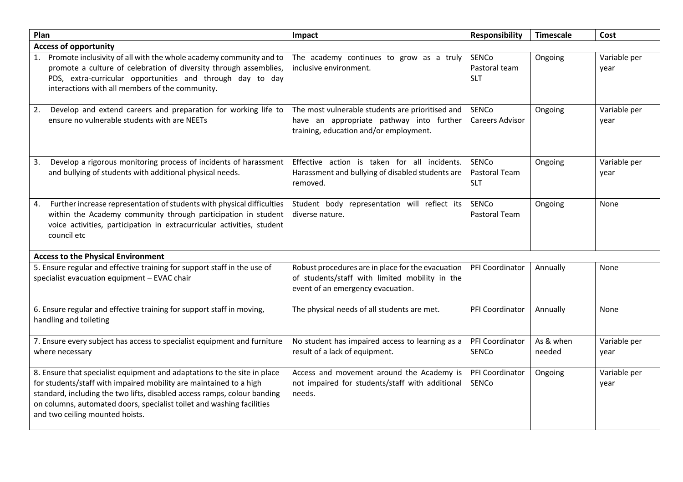| Plan                                                                                                                                                                                                                                                                                                                                   | Impact                                                                                                                                   | <b>Responsibility</b>                | <b>Timescale</b>    | Cost                 |  |  |
|----------------------------------------------------------------------------------------------------------------------------------------------------------------------------------------------------------------------------------------------------------------------------------------------------------------------------------------|------------------------------------------------------------------------------------------------------------------------------------------|--------------------------------------|---------------------|----------------------|--|--|
| <b>Access of opportunity</b>                                                                                                                                                                                                                                                                                                           |                                                                                                                                          |                                      |                     |                      |  |  |
| Promote inclusivity of all with the whole academy community and to<br>promote a culture of celebration of diversity through assemblies,<br>PDS, extra-curricular opportunities and through day to day<br>interactions with all members of the community.                                                                               | The academy continues to grow as a truly<br>inclusive environment.                                                                       | SENCo<br>Pastoral team<br><b>SLT</b> | Ongoing             | Variable per<br>year |  |  |
| Develop and extend careers and preparation for working life to<br>2.<br>ensure no vulnerable students with are NEETs                                                                                                                                                                                                                   | The most vulnerable students are prioritised and<br>have an appropriate pathway into further<br>training, education and/or employment.   | SENCo<br><b>Careers Advisor</b>      | Ongoing             | Variable per<br>year |  |  |
| Develop a rigorous monitoring process of incidents of harassment<br>3.<br>and bullying of students with additional physical needs.                                                                                                                                                                                                     | Effective action is taken for all incidents.<br>Harassment and bullying of disabled students are<br>removed.                             | SENCo<br>Pastoral Team<br><b>SLT</b> | Ongoing             | Variable per<br>year |  |  |
| Further increase representation of students with physical difficulties<br>4.<br>within the Academy community through participation in student<br>voice activities, participation in extracurricular activities, student<br>council etc                                                                                                 | Student body representation will reflect its<br>diverse nature.                                                                          | SENCo<br>Pastoral Team               | Ongoing             | None                 |  |  |
| <b>Access to the Physical Environment</b>                                                                                                                                                                                                                                                                                              |                                                                                                                                          |                                      |                     |                      |  |  |
| 5. Ensure regular and effective training for support staff in the use of<br>specialist evacuation equipment - EVAC chair                                                                                                                                                                                                               | Robust procedures are in place for the evacuation<br>of students/staff with limited mobility in the<br>event of an emergency evacuation. | PFI Coordinator                      | Annually            | None                 |  |  |
| 6. Ensure regular and effective training for support staff in moving,<br>handling and toileting                                                                                                                                                                                                                                        | The physical needs of all students are met.                                                                                              | PFI Coordinator                      | Annually            | None                 |  |  |
| 7. Ensure every subject has access to specialist equipment and furniture<br>where necessary                                                                                                                                                                                                                                            | No student has impaired access to learning as a<br>result of a lack of equipment.                                                        | PFI Coordinator<br>SENCo             | As & when<br>needed | Variable per<br>year |  |  |
| 8. Ensure that specialist equipment and adaptations to the site in place<br>for students/staff with impaired mobility are maintained to a high<br>standard, including the two lifts, disabled access ramps, colour banding<br>on columns, automated doors, specialist toilet and washing facilities<br>and two ceiling mounted hoists. | Access and movement around the Academy is<br>not impaired for students/staff with additional<br>needs.                                   | PFI Coordinator<br><b>SENCo</b>      | Ongoing             | Variable per<br>year |  |  |